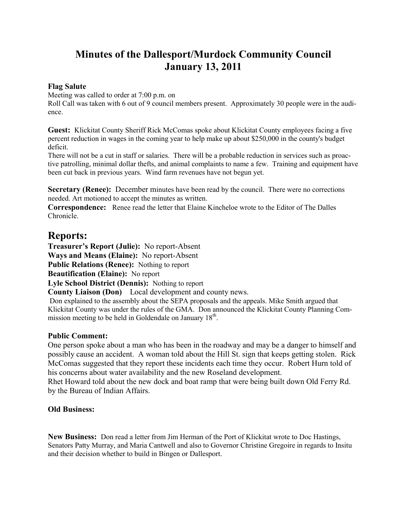# **Minutes of the Dallesport/Murdock Community Council January 13, 2011**

## **Flag Salute**

Meeting was called to order at 7:00 p.m. on

Roll Call was taken with 6 out of 9 council members present. Approximately 30 people were in the audience.

**Guest:** Klickitat County Sheriff Rick McComas spoke about Klickitat County employees facing a five percent reduction in wages in the coming year to help make up about \$250,000 in the county's budget deficit.

There will not be a cut in staff or salaries. There will be a probable reduction in services such as proactive patrolling, minimal dollar thefts, and animal complaints to name a few. Training and equipment have been cut back in previous years. Wind farm revenues have not begun yet.

**Secretary (Renee):** December minutes have been read by the council. There were no corrections needed. Art motioned to accept the minutes as written.

**Correspondence:** Renee read the letter that Elaine Kincheloe wrote to the Editor of The Dalles Chronicle.

## **Reports:**

**Treasurer's Report (Julie):** No report-Absent

**Ways and Means (Elaine):** No report-Absent

**Public Relations (Renee):** Nothing to report

**Beautification (Elaine):** No report

**Lyle School District (Dennis):** Nothing to report

**County Liaison (Don)** Local development and county news.

Don explained to the assembly about the SEPA proposals and the appeals. Mike Smith argued that Klickitat County was under the rules of the GMA. Don announced the Klickitat County Planning Commission meeting to be held in Goldendale on January  $18<sup>th</sup>$ .

## **Public Comment:**

One person spoke about a man who has been in the roadway and may be a danger to himself and possibly cause an accident. A woman told about the Hill St. sign that keeps getting stolen. Rick McComas suggested that they report these incidents each time they occur. Robert Hurn told of his concerns about water availability and the new Roseland development.

Rhet Howard told about the new dock and boat ramp that were being built down Old Ferry Rd. by the Bureau of Indian Affairs.

## **Old Business:**

**New Business:** Don read a letter from Jim Herman of the Port of Klickitat wrote to Doc Hastings, Senators Patty Murray, and Maria Cantwell and also to Governor Christine Gregoire in regards to Insitu and their decision whether to build in Bingen or Dallesport.